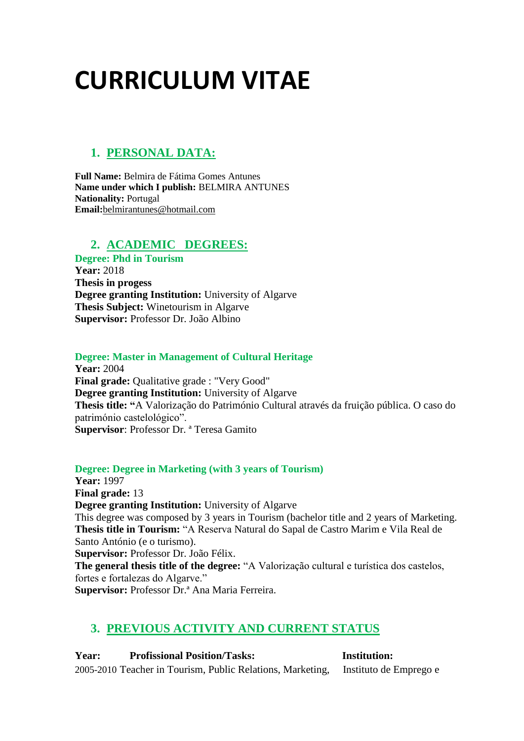# **CURRICULUM VITAE**

# **1. PERSONAL DATA:**

**Full Name:** Belmira de Fátima Gomes Antunes **Name under which I publish:** BELMIRA ANTUNES **Nationality:** Portugal **Email:**[belmirantunes@hotmail.com](mailto:belmirantunes@hotmail.com)

## **2. ACADEMIC DEGREES:**

**Degree: Phd in Tourism Year:** 2018 **Thesis in progess Degree granting Institution:** University of Algarve **Thesis Subject:** Winetourism in Algarve **Supervisor:** Professor Dr. João Albino

### **Degree: Master in Management of Cultural Heritage**

**Year:** 2004 **Final grade:** Qualitative grade : "Very Good" **Degree granting Institution:** University of Algarve **Thesis title: "**A Valorização do Património Cultural através da fruição pública. O caso do património castelológico". **Supervisor**: Professor Dr. ª Teresa Gamito

**Degree: Degree in Marketing (with 3 years of Tourism)**

**Year:** 1997 **Final grade:** 13 **Degree granting Institution:** University of Algarve This degree was composed by 3 years in Tourism (bachelor title and 2 years of Marketing. **Thesis title in Tourism:** "A Reserva Natural do Sapal de Castro Marim e Vila Real de Santo António (e o turismo). **Supervisor:** Professor Dr. João Félix. **The general thesis title of the degree:** "A Valorização cultural e turística dos castelos, fortes e fortalezas do Algarve."

**Supervisor:** Professor Dr.ª Ana Maria Ferreira.

# **3. PREVIOUS ACTIVITY AND CURRENT STATUS**

**Year: Profissional Position/Tasks: Institution:** 2005-2010 Teacher in Tourism, Public Relations, Marketing, Instituto de Emprego e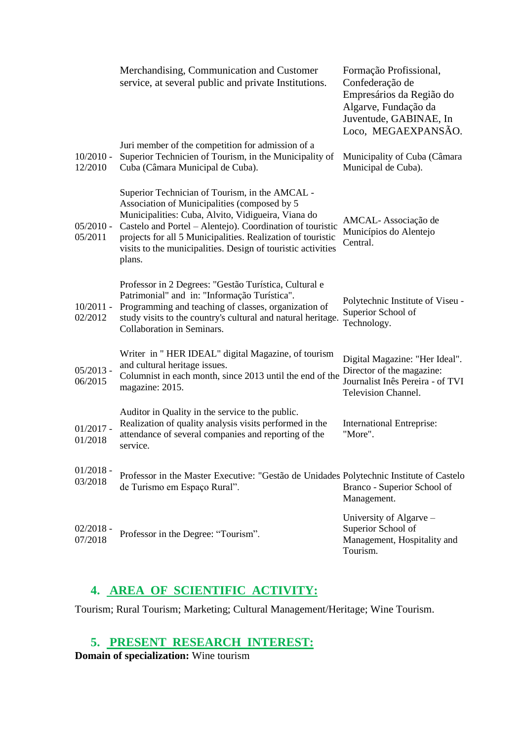|                        | Merchandising, Communication and Customer<br>service, at several public and private Institutions.                                                                                                                                                                                                                                                          | Formação Profissional,<br>Confederação de<br>Empresários da Região do<br>Algarve, Fundação da<br>Juventude, GABINAE, In<br>Loco, MEGAEXPANSÃO. |
|------------------------|------------------------------------------------------------------------------------------------------------------------------------------------------------------------------------------------------------------------------------------------------------------------------------------------------------------------------------------------------------|------------------------------------------------------------------------------------------------------------------------------------------------|
| $10/2010 -$<br>12/2010 | Juri member of the competition for admission of a<br>Superior Technicien of Tourism, in the Municipality of<br>Cuba (Câmara Municipal de Cuba).                                                                                                                                                                                                            | Municipality of Cuba (Câmara<br>Municipal de Cuba).                                                                                            |
| $05/2010 -$<br>05/2011 | Superior Technician of Tourism, in the AMCAL -<br>Association of Municipalities (composed by 5<br>Municipalities: Cuba, Alvito, Vidigueira, Viana do<br>Castelo and Portel - Alentejo). Coordination of touristic<br>projects for all 5 Municipalities. Realization of touristic<br>visits to the municipalities. Design of touristic activities<br>plans. | AMCAL-Associação de<br>Municípios do Alentejo<br>Central.                                                                                      |
| $10/2011 -$<br>02/2012 | Professor in 2 Degrees: "Gestão Turística, Cultural e<br>Patrimonial" and in: "Informação Turística".<br>Programming and teaching of classes, organization of<br>study visits to the country's cultural and natural heritage.<br>Collaboration in Seminars.                                                                                                | Polytechnic Institute of Viseu -<br>Superior School of<br>Technology.                                                                          |
| $05/2013 -$<br>06/2015 | Writer in "HER IDEAL" digital Magazine, of tourism<br>and cultural heritage issues.<br>Columnist in each month, since 2013 until the end of the<br>magazine: 2015.                                                                                                                                                                                         | Digital Magazine: "Her Ideal".<br>Director of the magazine:<br>Journalist Inês Pereira - of TVI<br><b>Television Channel.</b>                  |
| $01/2017 -$<br>01/2018 | Auditor in Quality in the service to the public.<br>Realization of quality analysis visits performed in the<br>attendance of several companies and reporting of the<br>service.                                                                                                                                                                            | <b>International Entreprise:</b><br>"More".                                                                                                    |
| $01/2018 -$<br>03/2018 | Professor in the Master Executive: "Gestão de Unidades Polytechnic Institute of Castelo<br>de Turismo em Espaço Rural".                                                                                                                                                                                                                                    | Branco - Superior School of<br>Management.                                                                                                     |
| $02/2018 -$<br>07/2018 | Professor in the Degree: "Tourism".                                                                                                                                                                                                                                                                                                                        | University of Algarve -<br>Superior School of<br>Management, Hospitality and<br>Tourism.                                                       |

# **4. AREA OF SCIENTIFIC ACTIVITY:**

Tourism; Rural Tourism; Marketing; Cultural Management/Heritage; Wine Tourism.

# **5. PRESENT RESEARCH INTEREST:**

**Domain of specialization:** Wine tourism